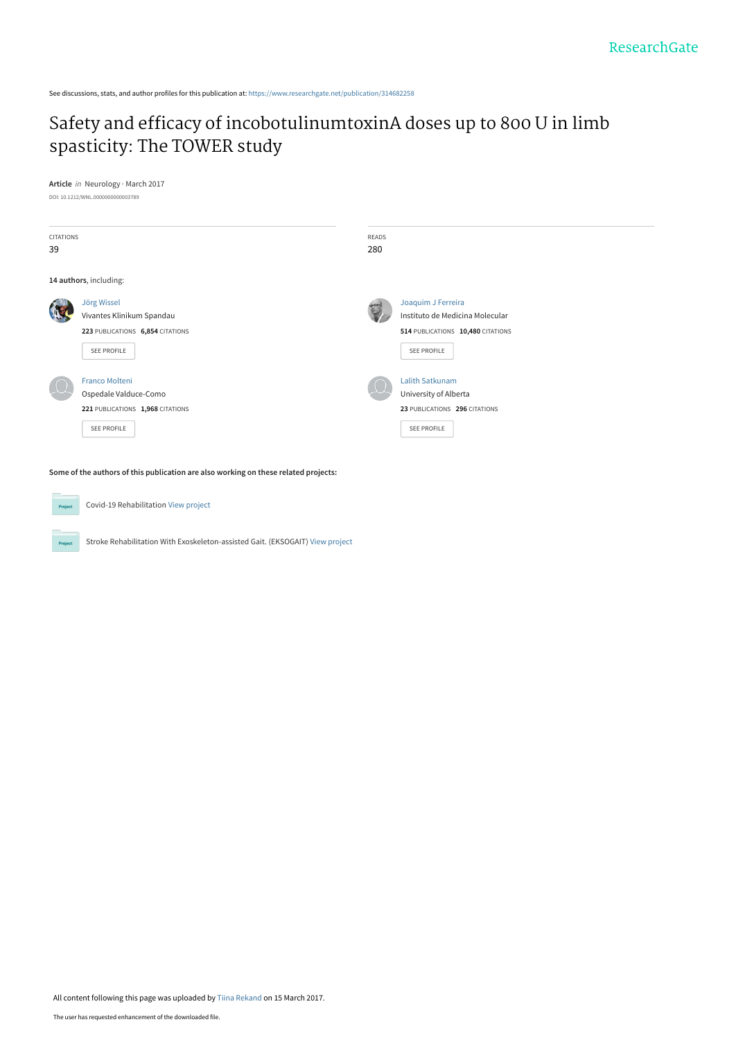See discussions, stats, and author profiles for this publication at: [https://www.researchgate.net/publication/314682258](https://www.researchgate.net/publication/314682258_Safety_and_efficacy_of_incobotulinumtoxinA_doses_up_to_800_U_in_limb_spasticity_The_TOWER_study?enrichId=rgreq-8fdf49b9c64236c2aa39632dc47fc507-XXX&enrichSource=Y292ZXJQYWdlOzMxNDY4MjI1ODtBUzo0NzIxNDM3MzQ1NDY0MzJAMTQ4OTU3OTI0Njc1Ng%3D%3D&el=1_x_2&_esc=publicationCoverPdf)

# [Safety and efficacy of incobotulinumtoxinA doses up to 800 U in limb](https://www.researchgate.net/publication/314682258_Safety_and_efficacy_of_incobotulinumtoxinA_doses_up_to_800_U_in_limb_spasticity_The_TOWER_study?enrichId=rgreq-8fdf49b9c64236c2aa39632dc47fc507-XXX&enrichSource=Y292ZXJQYWdlOzMxNDY4MjI1ODtBUzo0NzIxNDM3MzQ1NDY0MzJAMTQ4OTU3OTI0Njc1Ng%3D%3D&el=1_x_3&_esc=publicationCoverPdf) spasticity: The TOWER study

**Article** in Neurology · March 2017 DOI: 10.1212/WNL.0000000000003789

| <b>CITATIONS</b><br>39 |                                                                                                   | READS<br>280 |                                                                                                           |
|------------------------|---------------------------------------------------------------------------------------------------|--------------|-----------------------------------------------------------------------------------------------------------|
|                        | 14 authors, including:                                                                            |              |                                                                                                           |
|                        | Jörg Wissel<br>Vivantes Klinikum Spandau<br>223 PUBLICATIONS 6,854 CITATIONS<br>SEE PROFILE       |              | Joaquim J Ferreira<br>Instituto de Medicina Molecular<br>514 PUBLICATIONS 10,480 CITATIONS<br>SEE PROFILE |
|                        | <b>Franco Molteni</b><br>Ospedale Valduce-Como<br>221 PUBLICATIONS 1,968 CITATIONS<br>SEE PROFILE |              | Lalith Satkunam<br>University of Alberta<br>23 PUBLICATIONS 296 CITATIONS<br>SEE PROFILE                  |

**Some of the authors of this publication are also working on these related projects:**

Covid-19 Rehabilitation [View project](https://www.researchgate.net/project/Covid-19-Rehabilitation?enrichId=rgreq-8fdf49b9c64236c2aa39632dc47fc507-XXX&enrichSource=Y292ZXJQYWdlOzMxNDY4MjI1ODtBUzo0NzIxNDM3MzQ1NDY0MzJAMTQ4OTU3OTI0Njc1Ng%3D%3D&el=1_x_9&_esc=publicationCoverPdf) **Project** Stroke Rehabilitation With Exoskeleton-assisted Gait. (EKSOGAIT) [View project](https://www.researchgate.net/project/Stroke-Rehabilitation-With-Exoskeleton-assisted-Gait-EKSOGAIT?enrichId=rgreq-8fdf49b9c64236c2aa39632dc47fc507-XXX&enrichSource=Y292ZXJQYWdlOzMxNDY4MjI1ODtBUzo0NzIxNDM3MzQ1NDY0MzJAMTQ4OTU3OTI0Njc1Ng%3D%3D&el=1_x_9&_esc=publicationCoverPdf)

Project

All content following this page was uploaded by [Tiina Rekand](https://www.researchgate.net/profile/Tiina_Rekand?enrichId=rgreq-8fdf49b9c64236c2aa39632dc47fc507-XXX&enrichSource=Y292ZXJQYWdlOzMxNDY4MjI1ODtBUzo0NzIxNDM3MzQ1NDY0MzJAMTQ4OTU3OTI0Njc1Ng%3D%3D&el=1_x_10&_esc=publicationCoverPdf) on 15 March 2017.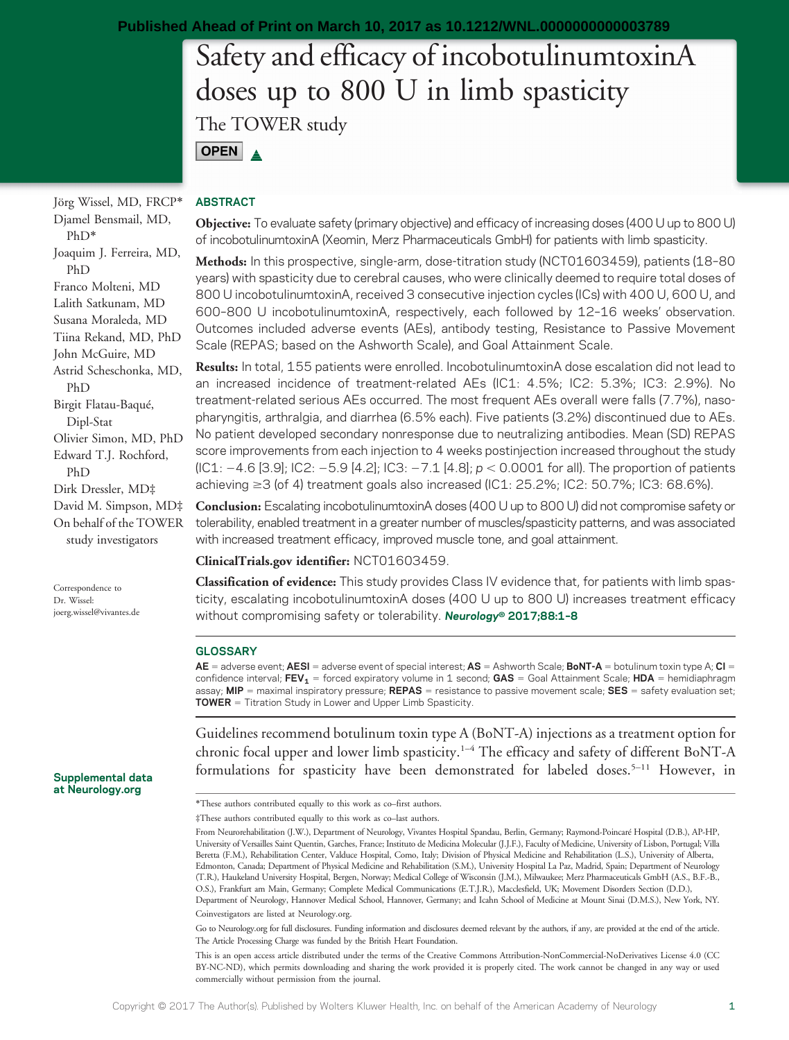# Safety and efficacy of incobotulinumtoxinA doses up to 800 U in limb spasticity The TOWER study  $\overline{\text{OPEN}}$   $_{\text{A}}$

Jörg Wissel, MD, FRCP\* Djamel Bensmail, MD, PhD\* Joaquim J. Ferreira, MD, PhD Franco Molteni, MD Lalith Satkunam, MD Susana Moraleda, MD Tiina Rekand, MD, PhD John McGuire, MD Astrid Scheschonka, MD, PhD Birgit Flatau-Baqué, Dipl-Stat Olivier Simon, MD, PhD Edward T.J. Rochford, PhD Dirk Dressler, MD‡ David M. Simpson, MD‡ On behalf of the TOWER study investigators

Correspondence to Dr. Wissel: [joerg.wissel@vivantes.de](mailto:joerg.wissel@vivantes.de)

Supplemental data at [Neurology.org](http://neurology.org/lookup/doi/10.1212/WNL.0000000000003789)

## ABSTRACT

Objective: To evaluate safety (primary objective) and efficacy of increasing doses (400 U up to 800 U) of incobotulinumtoxinA (Xeomin, Merz Pharmaceuticals GmbH) for patients with limb spasticity.

Methods: In this prospective, single-arm, dose-titration study (NCT01603459), patients (18-80 years) with spasticity due to cerebral causes, who were clinically deemed to require total doses of 800 U incobotulinumtoxinA, received 3 consecutive injection cycles (ICs) with 400 U, 600 U, and 600–800 U incobotulinumtoxinA, respectively, each followed by 12–16 weeks' observation. Outcomes included adverse events (AEs), antibody testing, Resistance to Passive Movement Scale (REPAS; based on the Ashworth Scale), and Goal Attainment Scale.

Results: In total, 155 patients were enrolled. IncobotulinumtoxinA dose escalation did not lead to an increased incidence of treatment-related AEs (IC1: 4.5%; IC2: 5.3%; IC3: 2.9%). No treatment-related serious AEs occurred. The most frequent AEs overall were falls (7.7%), nasopharyngitis, arthralgia, and diarrhea (6.5% each). Five patients (3.2%) discontinued due to AEs. No patient developed secondary nonresponse due to neutralizing antibodies. Mean (SD) REPAS score improvements from each injection to 4 weeks postinjection increased throughout the study  $(IC1: -4.6 [3.9]; IC2: -5.9 [4.2]; IC3: -7.1 [4.8]; p < 0.0001$  for all). The proportion of patients achieving  $\geq$ 3 (of 4) treatment goals also increased (IC1: 25.2%; IC2: 50.7%; IC3: 68.6%).

Conclusion: Escalating incobotulinumtoxinA doses (400 U up to 800 U) did not compromise safety or tolerability, enabled treatment in a greater number of muscles/spasticity patterns, and was associated with increased treatment efficacy, improved muscle tone, and goal attainment.

### [ClinicalTrials.gov](http://ClinicalTrials.gov) identifier: NCT01603459.

Classification of evidence: This study provides Class IV evidence that, for patients with limb spasticity, escalating incobotulinumtoxinA doses (400 U up to 800 U) increases treatment efficacy without compromising safety or tolerability. Neurology® 2017;88:1-8

#### GLOSSARY

 $AE =$  adverse event; AESI = adverse event of special interest;  $AS =$  Ashworth Scale; BoNT-A = botulinum toxin type A; CI = confidence interval; FEV<sub>1</sub> = forced expiratory volume in 1 second; GAS = Goal Attainment Scale; HDA = hemidiaphragm assay; MIP = maximal inspiratory pressure; REPAS = resistance to passive movement scale; SES = safety evaluation set; **TOWER** = Titration Study in Lower and Upper Limb Spasticity.

Guidelines recommend botulinum toxin type A (BoNT-A) injections as a treatment option for chronic focal upper and lower limb spasticity.<sup>1-4</sup> The efficacy and safety of different BoNT-A formulations for spasticity have been demonstrated for labeled doses.<sup>5-11</sup> However, in

\*These authors contributed equally to this work as co–first authors.

‡These authors contributed equally to this work as co–last authors.

Coinvestigators are listed at [Neurology.org](http://neurology.org/lookup/doi/10.1212/WNL.0000000000003789).

Go to [Neurology.org](http://neurology.org/lookup/doi/10.1212/WNL.0000000000003789) for full disclosures. Funding information and disclosures deemed relevant by the authors, if any, are provided at the end of the article. The Article Processing Charge was funded by the British Heart Foundation.

This is an open access article distributed under the terms of the [Creative Commons Attribution-NonCommercial-NoDerivatives License 4.0 \(CC](http://creativecommons.org/licenses/by-nc-nd/4.0/) [BY-NC-ND\)](http://creativecommons.org/licenses/by-nc-nd/4.0/), which permits downloading and sharing the work provided it is properly cited. The work cannot be changed in any way or used commercially without permission from the journal.

From Neurorehabilitation (J.W.), Department of Neurology, Vivantes Hospital Spandau, Berlin, Germany; Raymond-Poincaré Hospital (D.B.), AP-HP, University of Versailles Saint Quentin, Garches, France; Instituto de Medicina Molecular (J.J.F.), Faculty of Medicine, University of Lisbon, Portugal; Villa Beretta (F.M.), Rehabilitation Center, Valduce Hospital, Como, Italy; Division of Physical Medicine and Rehabilitation (L.S.), University of Alberta, Edmonton, Canada; Department of Physical Medicine and Rehabilitation (S.M.), University Hospital La Paz, Madrid, Spain; Department of Neurology (T.R.), Haukeland University Hospital, Bergen, Norway; Medical College of Wisconsin (J.M.), Milwaukee; Merz Pharmaceuticals GmbH (A.S., B.F.-B., O.S.), Frankfurt am Main, Germany; Complete Medical Communications (E.T.J.R.), Macclesfield, UK; Movement Disorders Section (D.D.), Department of Neurology, Hannover Medical School, Hannover, Germany; and Icahn School of Medicine at Mount Sinai (D.M.S.), New York, NY.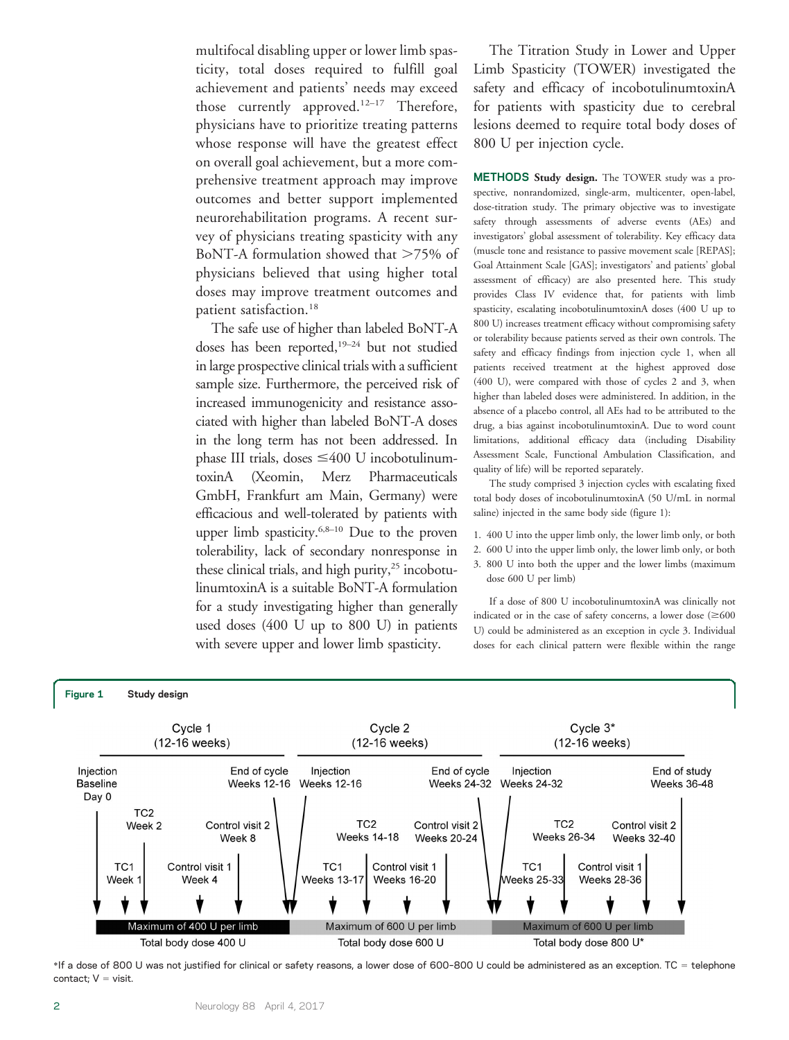multifocal disabling upper or lower limb spasticity, total doses required to fulfill goal achievement and patients' needs may exceed those currently approved.<sup>12-17</sup> Therefore, physicians have to prioritize treating patterns whose response will have the greatest effect on overall goal achievement, but a more comprehensive treatment approach may improve outcomes and better support implemented neurorehabilitation programs. A recent survey of physicians treating spasticity with any BoNT-A formulation showed that  $>75\%$  of physicians believed that using higher total doses may improve treatment outcomes and patient satisfaction.18

The safe use of higher than labeled BoNT-A doses has been reported,<sup>19-24</sup> but not studied in large prospective clinical trials with a sufficient sample size. Furthermore, the perceived risk of increased immunogenicity and resistance associated with higher than labeled BoNT-A doses in the long term has not been addressed. In phase III trials, doses  $\leq 400$  U incobotulinumtoxinA (Xeomin, Merz Pharmaceuticals GmbH, Frankfurt am Main, Germany) were efficacious and well-tolerated by patients with upper limb spasticity.6,8–<sup>10</sup> Due to the proven tolerability, lack of secondary nonresponse in these clinical trials, and high purity, $25$  incobotulinumtoxinA is a suitable BoNT-A formulation for a study investigating higher than generally used doses (400 U up to 800 U) in patients with severe upper and lower limb spasticity.

The Titration Study in Lower and Upper Limb Spasticity (TOWER) investigated the safety and efficacy of incobotulinumtoxinA for patients with spasticity due to cerebral lesions deemed to require total body doses of 800 U per injection cycle.

METHODS Study design. The TOWER study was a prospective, nonrandomized, single-arm, multicenter, open-label, dose-titration study. The primary objective was to investigate safety through assessments of adverse events (AEs) and investigators' global assessment of tolerability. Key efficacy data (muscle tone and resistance to passive movement scale [REPAS]; Goal Attainment Scale [GAS]; investigators' and patients' global assessment of efficacy) are also presented here. This study provides Class IV evidence that, for patients with limb spasticity, escalating incobotulinumtoxinA doses (400 U up to 800 U) increases treatment efficacy without compromising safety or tolerability because patients served as their own controls. The safety and efficacy findings from injection cycle 1, when all patients received treatment at the highest approved dose (400 U), were compared with those of cycles 2 and 3, when higher than labeled doses were administered. In addition, in the absence of a placebo control, all AEs had to be attributed to the drug, a bias against incobotulinumtoxinA. Due to word count limitations, additional efficacy data (including Disability Assessment Scale, Functional Ambulation Classification, and quality of life) will be reported separately.

The study comprised 3 injection cycles with escalating fixed total body doses of incobotulinumtoxinA (50 U/mL in normal saline) injected in the same body side (figure 1):

- 1. 400 U into the upper limb only, the lower limb only, or both
- 2. 600 U into the upper limb only, the lower limb only, or both
- 3. 800 U into both the upper and the lower limbs (maximum dose 600 U per limb)

If a dose of 800 U incobotulinumtoxinA was clinically not indicated or in the case of safety concerns, a lower dose  $(\geq 600$ U) could be administered as an exception in cycle 3. Individual doses for each clinical pattern were flexible within the range



\*If a dose of 800 U was not justified for clinical or safety reasons, a lower dose of 600-800 U could be administered as an exception. TC = telephone contact;  $V = v$ isit.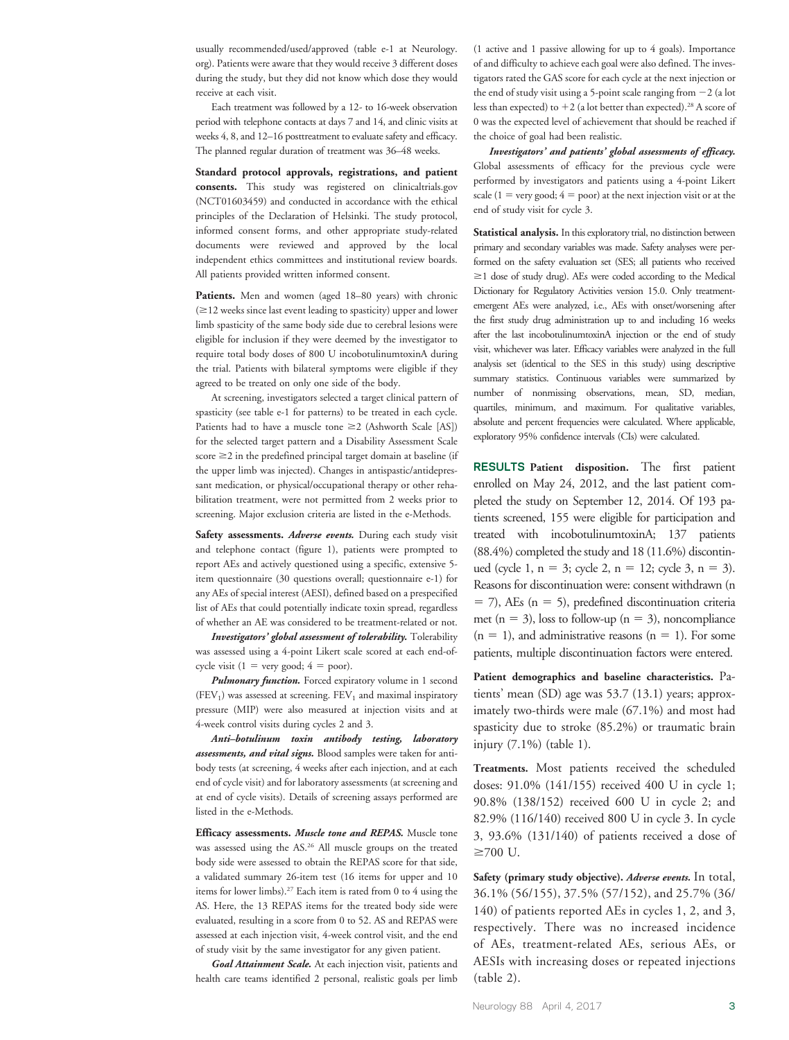usually recommended/used/approved (table e-1 at [Neurology.](http://neurology.org/lookup/doi/10.1212/WNL.0000000000003789) [org](http://neurology.org/lookup/doi/10.1212/WNL.0000000000003789)). Patients were aware that they would receive 3 different doses during the study, but they did not know which dose they would receive at each visit.

Each treatment was followed by a 12- to 16-week observation period with telephone contacts at days 7 and 14, and clinic visits at weeks 4, 8, and 12–16 posttreatment to evaluate safety and efficacy. The planned regular duration of treatment was 36–48 weeks.

Standard protocol approvals, registrations, and patient consents. This study was registered on [clinicaltrials.gov](http://clinicaltrials.gov) (NCT01603459) and conducted in accordance with the ethical principles of the Declaration of Helsinki. The study protocol, informed consent forms, and other appropriate study-related documents were reviewed and approved by the local independent ethics committees and institutional review boards. All patients provided written informed consent.

Patients. Men and women (aged 18-80 years) with chronic  $(\geq 12$  weeks since last event leading to spasticity) upper and lower limb spasticity of the same body side due to cerebral lesions were eligible for inclusion if they were deemed by the investigator to require total body doses of 800 U incobotulinumtoxinA during the trial. Patients with bilateral symptoms were eligible if they agreed to be treated on only one side of the body.

At screening, investigators selected a target clinical pattern of spasticity (see table e-1 for patterns) to be treated in each cycle. Patients had to have a muscle tone  $\geq$  (Ashworth Scale [AS]) for the selected target pattern and a Disability Assessment Scale score  $\geq$  2 in the predefined principal target domain at baseline (if the upper limb was injected). Changes in antispastic/antidepressant medication, or physical/occupational therapy or other rehabilitation treatment, were not permitted from 2 weeks prior to screening. Major exclusion criteria are listed in the e-Methods.

Safety assessments. Adverse events. During each study visit and telephone contact (figure 1), patients were prompted to report AEs and actively questioned using a specific, extensive 5 item questionnaire (30 questions overall; questionnaire e-1) for any AEs of special interest (AESI), defined based on a prespecified list of AEs that could potentially indicate toxin spread, regardless of whether an AE was considered to be treatment-related or not.

Investigators' global assessment of tolerability. Tolerability was assessed using a 4-point Likert scale scored at each end-ofcycle visit ( $1 = \text{very good}; 4 = \text{poor}$ ).

Pulmonary function. Forced expiratory volume in 1 second  $(FEV<sub>1</sub>)$  was assessed at screening.  $FEV<sub>1</sub>$  and maximal inspiratory pressure (MIP) were also measured at injection visits and at 4-week control visits during cycles 2 and 3.

Anti–botulinum toxin antibody testing, laboratory assessments, and vital signs. Blood samples were taken for antibody tests (at screening, 4 weeks after each injection, and at each end of cycle visit) and for laboratory assessments (at screening and at end of cycle visits). Details of screening assays performed are listed in the e-Methods.

Efficacy assessments. Muscle tone and REPAS. Muscle tone was assessed using the AS.<sup>26</sup> All muscle groups on the treated body side were assessed to obtain the REPAS score for that side, a validated summary 26-item test (16 items for upper and 10 items for lower limbs).27 Each item is rated from 0 to 4 using the AS. Here, the 13 REPAS items for the treated body side were evaluated, resulting in a score from 0 to 52. AS and REPAS were assessed at each injection visit, 4-week control visit, and the end of study visit by the same investigator for any given patient.

Goal Attainment Scale. At each injection visit, patients and health care teams identified 2 personal, realistic goals per limb

(1 active and 1 passive allowing for up to 4 goals). Importance of and difficulty to achieve each goal were also defined. The investigators rated the GAS score for each cycle at the next injection or the end of study visit using a 5-point scale ranging from  $-2$  (a lot less than expected) to  $+2$  (a lot better than expected).<sup>28</sup> A score of 0 was the expected level of achievement that should be reached if the choice of goal had been realistic.

Investigators' and patients' global assessments of efficacy. Global assessments of efficacy for the previous cycle were performed by investigators and patients using a 4-point Likert scale (1 = very good;  $4 =$  poor) at the next injection visit or at the end of study visit for cycle 3.

Statistical analysis. In this exploratory trial, no distinction between primary and secondary variables was made. Safety analyses were performed on the safety evaluation set (SES; all patients who received  $\geq$ 1 dose of study drug). AEs were coded according to the Medical Dictionary for Regulatory Activities version 15.0. Only treatmentemergent AEs were analyzed, i.e., AEs with onset/worsening after the first study drug administration up to and including 16 weeks after the last incobotulinumtoxinA injection or the end of study visit, whichever was later. Efficacy variables were analyzed in the full analysis set (identical to the SES in this study) using descriptive summary statistics. Continuous variables were summarized by number of nonmissing observations, mean, SD, median, quartiles, minimum, and maximum. For qualitative variables, absolute and percent frequencies were calculated. Where applicable, exploratory 95% confidence intervals (CIs) were calculated.

RESULTS Patient disposition. The first patient enrolled on May 24, 2012, and the last patient completed the study on September 12, 2014. Of 193 patients screened, 155 were eligible for participation and treated with incobotulinumtoxinA; 137 patients (88.4%) completed the study and 18 (11.6%) discontinued (cycle 1,  $n = 3$ ; cycle 2,  $n = 12$ ; cycle 3,  $n = 3$ ). Reasons for discontinuation were: consent withdrawn (n  $=$  7), AEs (n = 5), predefined discontinuation criteria met (n = 3), loss to follow-up (n = 3), noncompliance  $(n = 1)$ , and administrative reasons  $(n = 1)$ . For some patients, multiple discontinuation factors were entered.

Patient demographics and baseline characteristics. Patients' mean (SD) age was 53.7 (13.1) years; approximately two-thirds were male (67.1%) and most had spasticity due to stroke (85.2%) or traumatic brain injury (7.1%) (table 1).

Treatments. Most patients received the scheduled doses: 91.0% (141/155) received 400 U in cycle 1; 90.8% (138/152) received 600 U in cycle 2; and 82.9% (116/140) received 800 U in cycle 3. In cycle 3, 93.6% (131/140) of patients received a dose of  $\geq$ 700 U.

Safety (primary study objective). Adverse events. In total, 36.1% (56/155), 37.5% (57/152), and 25.7% (36/ 140) of patients reported AEs in cycles 1, 2, and 3, respectively. There was no increased incidence of AEs, treatment-related AEs, serious AEs, or AESIs with increasing doses or repeated injections (table 2).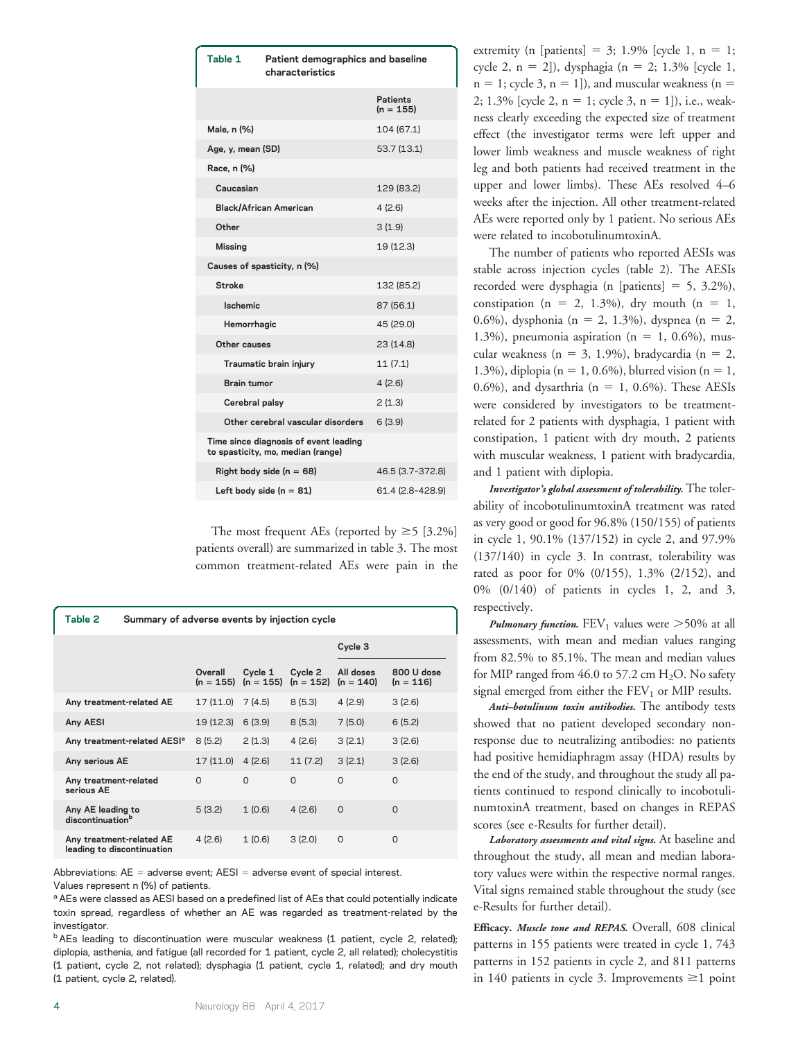| Table 1           | Patient demographics and baseline<br>characteristics                       |                         |  |
|-------------------|----------------------------------------------------------------------------|-------------------------|--|
|                   |                                                                            | Patients<br>$(n = 155)$ |  |
| Male, n (%)       |                                                                            | 104 (67.1)              |  |
| Age, y, mean (SD) |                                                                            | 53.7 (13.1)             |  |
| Race, n (%)       |                                                                            |                         |  |
| Caucasian         |                                                                            | 129 (83.2)              |  |
|                   | <b>Black/African American</b>                                              | 4(2.6)                  |  |
| Other             |                                                                            | 3(1.9)                  |  |
| Missing           |                                                                            | 19 (12.3)               |  |
|                   | Causes of spasticity, n (%)                                                |                         |  |
| <b>Stroke</b>     |                                                                            | 132 (85.2)              |  |
| <b>Ischemic</b>   |                                                                            | 87 (56.1)               |  |
| Hemorrhagic       |                                                                            | 45 (29.0)               |  |
| Other causes      |                                                                            | 23 (14.8)               |  |
|                   | Traumatic brain injury                                                     | 11(7.1)                 |  |
| Brain tumor       |                                                                            | 4(2.6)                  |  |
| Cerebral palsy    |                                                                            | 2(1.3)                  |  |
|                   | Other cerebral vascular disorders                                          | 6(3.9)                  |  |
|                   | Time since diagnosis of event leading<br>to spasticity, mo, median (range) |                         |  |
|                   | Right body side ( $n = 68$ )                                               | 46.5 (3.7-372.8)        |  |
|                   | Left body side $(n = 81)$                                                  | 61.4 (2.8-428.9)        |  |

The most frequent AEs (reported by  $\geq$  5 [3.2%] patients overall) are summarized in table 3. The most common treatment-related AEs were pain in the

| Table 2<br>Summary of adverse events by injection cycle |                        |                        |                        |                          |                           |
|---------------------------------------------------------|------------------------|------------------------|------------------------|--------------------------|---------------------------|
|                                                         |                        |                        |                        | Cycle 3                  |                           |
|                                                         | Overall<br>$(n = 155)$ | Cycle 1<br>$(n = 155)$ | Cycle 2<br>$(n = 152)$ | All doses<br>$(n = 140)$ | 800 U dose<br>$(n = 116)$ |
| Any treatment-related AE                                | 17 (11.0)              | 7(4.5)                 | 8(5.3)                 | 4(2.9)                   | 3(2.6)                    |
| Any AESI                                                | 19 (12.3)              | 6(3.9)                 | 8(5.3)                 | 7(5.0)                   | 6(5.2)                    |
| Any treatment-related AESI <sup>a</sup>                 | 8(5.2)                 | 2(1.3)                 | 4(2.6)                 | 3(2.1)                   | 3(2.6)                    |
| Any serious AE                                          | 17(11.0)               | 4(2.6)                 | 11(7.2)                | 3(2.1)                   | 3(2.6)                    |
| Any treatment-related<br>serious AE                     | O                      | O                      | O                      | O                        | $\Omega$                  |
| Any AE leading to<br>discontinuation <sup>b</sup>       | 5(3.2)                 | 1(0.6)                 | 4(2.6)                 | $\Omega$                 | $\Omega$                  |
| Any treatment-related AE<br>leading to discontinuation  | 4(2.6)                 | 1(0.6)                 | 3(2.0)                 | 0                        | $\Omega$                  |

Abbreviations:  $AE =$  adverse event;  $AESI =$  adverse event of special interest. Values represent n (%) of patients.

<sup>a</sup> AEs were classed as AESI based on a predefined list of AEs that could potentially indicate toxin spread, regardless of whether an AE was regarded as treatment-related by the investigator.

<sup>b</sup> AEs leading to discontinuation were muscular weakness (1 patient, cycle 2, related); diplopia, asthenia, and fatigue (all recorded for 1 patient, cycle 2, all related); cholecystitis (1 patient, cycle 2, not related); dysphagia (1 patient, cycle 1, related); and dry mouth (1 patient, cycle 2, related).

extremity (n [patients] = 3; 1.9% [cycle 1,  $n = 1$ ; cycle 2,  $n = 2$ ]), dysphagia ( $n = 2$ ; 1.3% [cycle 1,  $n = 1$ ; cycle 3,  $n = 1$ ]), and muscular weakness ( $n = 1$ 2; 1.3% [cycle 2,  $n = 1$ ; cycle 3,  $n = 1$ ]), i.e., weakness clearly exceeding the expected size of treatment effect (the investigator terms were left upper and lower limb weakness and muscle weakness of right leg and both patients had received treatment in the upper and lower limbs). These AEs resolved 4–6 weeks after the injection. All other treatment-related AEs were reported only by 1 patient. No serious AEs were related to incobotulinumtoxinA.

The number of patients who reported AESIs was stable across injection cycles (table 2). The AESIs recorded were dysphagia (n [patients] = 5, 3.2%), constipation (n = 2, 1.3%), dry mouth (n = 1, 0.6%), dysphonia (n = 2, 1.3%), dyspnea (n = 2, 1.3%), pneumonia aspiration ( $n = 1$ , 0.6%), muscular weakness ( $n = 3, 1.9\%$ ), bradycardia ( $n = 2$ , 1.3%), diplopia (n = 1, 0.6%), blurred vision (n = 1, 0.6%), and dysarthria ( $n = 1$ , 0.6%). These AESIs were considered by investigators to be treatmentrelated for 2 patients with dysphagia, 1 patient with constipation, 1 patient with dry mouth, 2 patients with muscular weakness, 1 patient with bradycardia, and 1 patient with diplopia.

Investigator's global assessment of tolerability. The tolerability of incobotulinumtoxinA treatment was rated as very good or good for 96.8% (150/155) of patients in cycle 1, 90.1% (137/152) in cycle 2, and 97.9% (137/140) in cycle 3. In contrast, tolerability was rated as poor for 0% (0/155), 1.3% (2/152), and 0% (0/140) of patients in cycles 1, 2, and 3, respectively.

Pulmonary function.  $FEV_1$  values were  $>50\%$  at all assessments, with mean and median values ranging from 82.5% to 85.1%. The mean and median values for MIP ranged from  $46.0$  to 57.2 cm H<sub>2</sub>O. No safety signal emerged from either the  $FEV<sub>1</sub>$  or MIP results.

Anti-botulinum toxin antibodies. The antibody tests showed that no patient developed secondary nonresponse due to neutralizing antibodies: no patients had positive hemidiaphragm assay (HDA) results by the end of the study, and throughout the study all patients continued to respond clinically to incobotulinumtoxinA treatment, based on changes in REPAS scores (see e-Results for further detail).

Laboratory assessments and vital signs. At baseline and throughout the study, all mean and median laboratory values were within the respective normal ranges. Vital signs remained stable throughout the study (see e-Results for further detail).

Efficacy. Muscle tone and REPAS. Overall, 608 clinical patterns in 155 patients were treated in cycle 1, 743 patterns in 152 patients in cycle 2, and 811 patterns in 140 patients in cycle 3. Improvements  $\geq 1$  point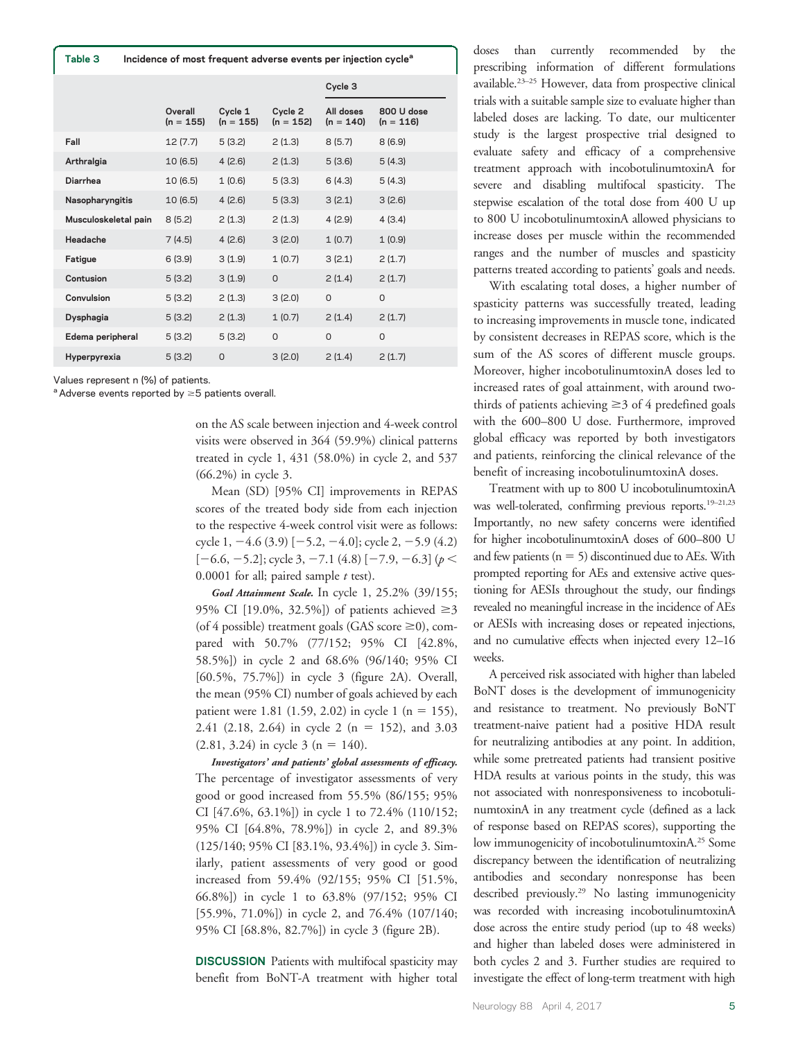| Table 3<br>Incidence of most frequent adverse events per injection cycle <sup>a</sup> |                        |                        |                        |                          |                           |  |
|---------------------------------------------------------------------------------------|------------------------|------------------------|------------------------|--------------------------|---------------------------|--|
|                                                                                       |                        |                        | Cycle 3                |                          |                           |  |
|                                                                                       | Overall<br>$(n = 155)$ | Cycle 1<br>$(n = 155)$ | Cycle 2<br>$(n = 152)$ | All doses<br>$(n = 140)$ | 800 U dose<br>$(n = 116)$ |  |
| Fall                                                                                  | 12(7.7)                | 5(3.2)                 | 2(1.3)                 | 8(5.7)                   | 8(6.9)                    |  |
| Arthralgia                                                                            | 10(6.5)                | 4(2.6)                 | 2(1.3)                 | 5(3.6)                   | 5(4.3)                    |  |
| <b>Diarrhea</b>                                                                       | 10 (6.5)               | 1(0.6)                 | 5(3.3)                 | 6(4.3)                   | 5(4.3)                    |  |
| Nasopharyngitis                                                                       | 10(6.5)                | 4(2.6)                 | 5(3.3)                 | 3(2.1)                   | 3(2.6)                    |  |
| Musculoskeletal pain                                                                  | 8(5.2)                 | 2(1.3)                 | 2(1.3)                 | 4(2.9)                   | 4(3.4)                    |  |
| Headache                                                                              | 7(4.5)                 | 4(2.6)                 | 3(2.0)                 | 1(0.7)                   | 1(0.9)                    |  |
| Fatigue                                                                               | 6(3.9)                 | 3(1.9)                 | 1(0.7)                 | 3(2.1)                   | 2(1.7)                    |  |
| Contusion                                                                             | 5(3.2)                 | 3(1.9)                 | $\mathsf{O}$           | 2(1.4)                   | 2(1.7)                    |  |
| Convulsion                                                                            | 5(3.2)                 | 2(1.3)                 | 3(2.0)                 | $\circ$                  | 0                         |  |
| Dysphagia                                                                             | 5(3.2)                 | 2(1.3)                 | 1(0.7)                 | 2(1.4)                   | 2(1.7)                    |  |
| Edema peripheral                                                                      | 5(3.2)                 | 5(3.2)                 | 0                      | 0                        | $\mathsf{O}$              |  |
| Hyperpyrexia                                                                          | 5(3.2)                 | 0                      | 3(2.0)                 | 2(1.4)                   | 2(1.7)                    |  |

Values represent n (%) of patients.

 $a$  Adverse events reported by  $\geq$  5 patients overall.

on the AS scale between injection and 4-week control visits were observed in 364 (59.9%) clinical patterns treated in cycle 1, 431 (58.0%) in cycle 2, and 537 (66.2%) in cycle 3.

Mean (SD) [95% CI] improvements in REPAS scores of the treated body side from each injection to the respective 4-week control visit were as follows: cycle 1,  $-4.6$  (3.9)  $[-5.2, -4.0]$ ; cycle 2,  $-5.9$  (4.2)  $[-6.6, -5.2]$ ; cycle 3, -7.1 (4.8)  $[-7.9, -6.3]$  ( $p <$ 0.0001 for all; paired sample  $t$  test).

Goal Attainment Scale. In cycle 1, 25.2% (39/155; 95% CI [19.0%, 32.5%]) of patients achieved  $\geq 3$ (of 4 possible) treatment goals (GAS score  $\geq$ 0), compared with 50.7% (77/152; 95% CI [42.8%, 58.5%]) in cycle 2 and 68.6% (96/140; 95% CI [60.5%, 75.7%]) in cycle 3 (figure 2A). Overall, the mean (95% CI) number of goals achieved by each patient were 1.81 (1.59, 2.02) in cycle 1 ( $n = 155$ ), 2.41 (2.18, 2.64) in cycle 2 (n = 152), and 3.03  $(2.81, 3.24)$  in cycle 3 (n = 140).

Investigators' and patients' global assessments of efficacy. The percentage of investigator assessments of very good or good increased from 55.5% (86/155; 95% CI [47.6%, 63.1%]) in cycle 1 to 72.4% (110/152; 95% CI [64.8%, 78.9%]) in cycle 2, and 89.3% (125/140; 95% CI [83.1%, 93.4%]) in cycle 3. Similarly, patient assessments of very good or good increased from 59.4% (92/155; 95% CI [51.5%, 66.8%]) in cycle 1 to 63.8% (97/152; 95% CI [55.9%, 71.0%]) in cycle 2, and 76.4% (107/140; 95% CI [68.8%, 82.7%]) in cycle 3 (figure 2B).

DISCUSSION Patients with multifocal spasticity may benefit from BoNT-A treatment with higher total

doses than currently recommended by the prescribing information of different formulations available.23–<sup>25</sup> However, data from prospective clinical trials with a suitable sample size to evaluate higher than labeled doses are lacking. To date, our multicenter study is the largest prospective trial designed to evaluate safety and efficacy of a comprehensive treatment approach with incobotulinumtoxinA for severe and disabling multifocal spasticity. The stepwise escalation of the total dose from 400 U up to 800 U incobotulinumtoxinA allowed physicians to increase doses per muscle within the recommended ranges and the number of muscles and spasticity patterns treated according to patients' goals and needs.

With escalating total doses, a higher number of spasticity patterns was successfully treated, leading to increasing improvements in muscle tone, indicated by consistent decreases in REPAS score, which is the sum of the AS scores of different muscle groups. Moreover, higher incobotulinumtoxinA doses led to increased rates of goal attainment, with around twothirds of patients achieving  $\geq$  3 of 4 predefined goals with the 600–800 U dose. Furthermore, improved global efficacy was reported by both investigators and patients, reinforcing the clinical relevance of the benefit of increasing incobotulinumtoxinA doses.

Treatment with up to 800 U incobotulinumtoxinA was well-tolerated, confirming previous reports.<sup>19-21,23</sup> Importantly, no new safety concerns were identified for higher incobotulinumtoxinA doses of 600–800 U and few patients ( $n = 5$ ) discontinued due to AEs. With prompted reporting for AEs and extensive active questioning for AESIs throughout the study, our findings revealed no meaningful increase in the incidence of AEs or AESIs with increasing doses or repeated injections, and no cumulative effects when injected every 12–16 weeks.

A perceived risk associated with higher than labeled BoNT doses is the development of immunogenicity and resistance to treatment. No previously BoNT treatment-naive patient had a positive HDA result for neutralizing antibodies at any point. In addition, while some pretreated patients had transient positive HDA results at various points in the study, this was not associated with nonresponsiveness to incobotulinumtoxinA in any treatment cycle (defined as a lack of response based on REPAS scores), supporting the low immunogenicity of incobotulinumtoxinA.25 Some discrepancy between the identification of neutralizing antibodies and secondary nonresponse has been described previously.<sup>29</sup> No lasting immunogenicity was recorded with increasing incobotulinumtoxinA dose across the entire study period (up to 48 weeks) and higher than labeled doses were administered in both cycles 2 and 3. Further studies are required to investigate the effect of long-term treatment with high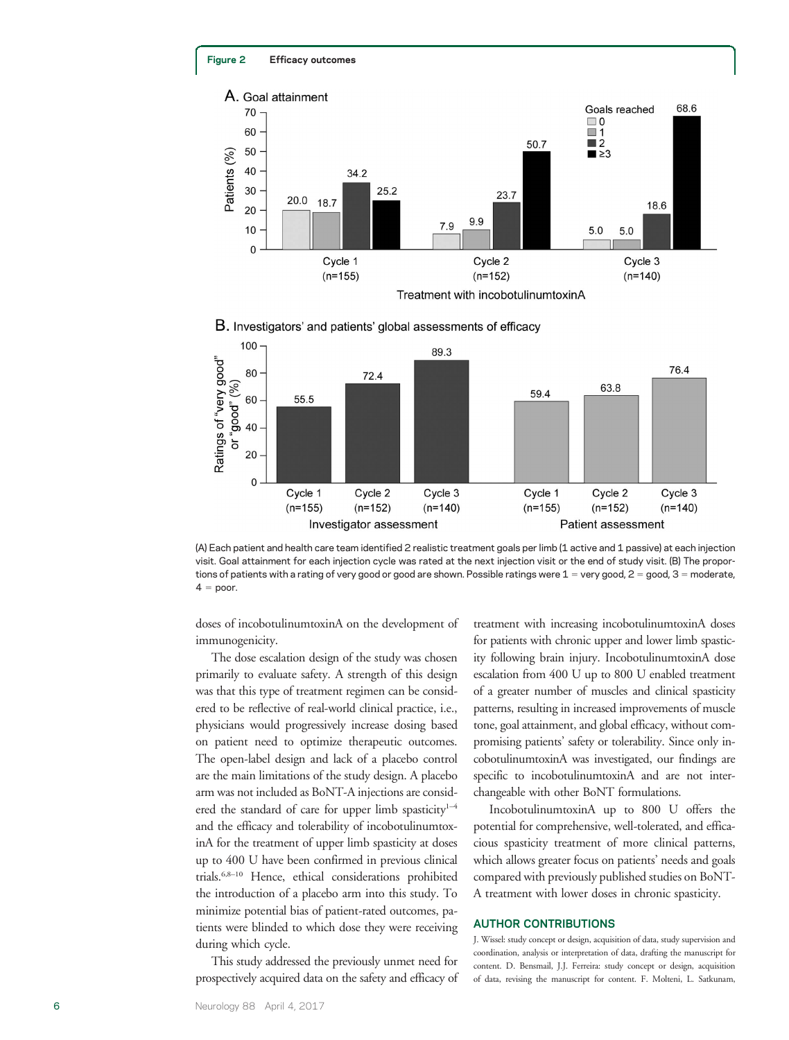

B. Investigators' and patients' global assessments of efficacy





doses of incobotulinumtoxinA on the development of immunogenicity.

The dose escalation design of the study was chosen primarily to evaluate safety. A strength of this design was that this type of treatment regimen can be considered to be reflective of real-world clinical practice, i.e., physicians would progressively increase dosing based on patient need to optimize therapeutic outcomes. The open-label design and lack of a placebo control are the main limitations of the study design. A placebo arm was not included as BoNT-A injections are considered the standard of care for upper limb spasticity<sup>1–4</sup> and the efficacy and tolerability of incobotulinumtoxinA for the treatment of upper limb spasticity at doses up to 400 U have been confirmed in previous clinical trials.6,8–<sup>10</sup> Hence, ethical considerations prohibited the introduction of a placebo arm into this study. To minimize potential bias of patient-rated outcomes, patients were blinded to which dose they were receiving during which cycle.

This study addressed the previously unmet need for prospectively acquired data on the safety and efficacy of treatment with increasing incobotulinumtoxinA doses for patients with chronic upper and lower limb spasticity following brain injury. IncobotulinumtoxinA dose escalation from 400 U up to 800 U enabled treatment of a greater number of muscles and clinical spasticity patterns, resulting in increased improvements of muscle tone, goal attainment, and global efficacy, without compromising patients' safety or tolerability. Since only incobotulinumtoxinA was investigated, our findings are specific to incobotulinumtoxinA and are not interchangeable with other BoNT formulations.

IncobotulinumtoxinA up to 800 U offers the potential for comprehensive, well-tolerated, and efficacious spasticity treatment of more clinical patterns, which allows greater focus on patients' needs and goals compared with previously published studies on BoNT-A treatment with lower doses in chronic spasticity.

#### AUTHOR CONTRIBUTIONS

J. Wissel: study concept or design, acquisition of data, study supervision and coordination, analysis or interpretation of data, drafting the manuscript for content. D. Bensmail, J.J. Ferreira: study concept or design, acquisition of data, revising the manuscript for content. F. Molteni, L. Satkunam,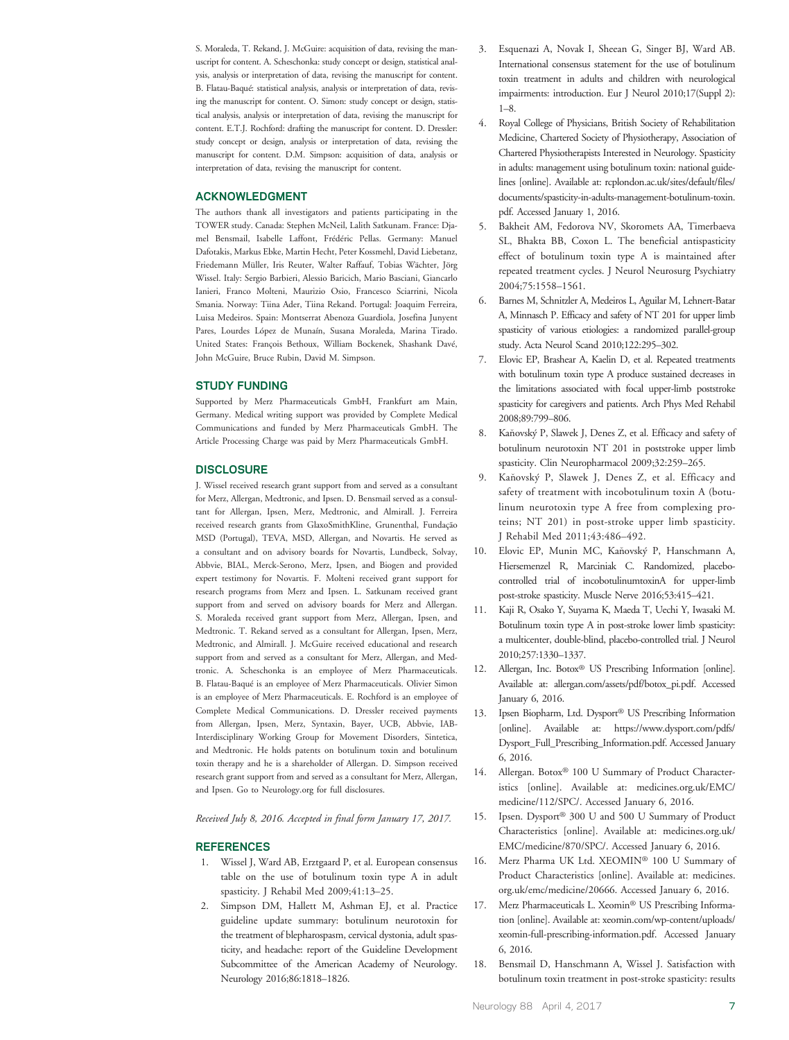S. Moraleda, T. Rekand, J. McGuire: acquisition of data, revising the manuscript for content. A. Scheschonka: study concept or design, statistical analysis, analysis or interpretation of data, revising the manuscript for content. B. Flatau-Baqué: statistical analysis, analysis or interpretation of data, revising the manuscript for content. O. Simon: study concept or design, statistical analysis, analysis or interpretation of data, revising the manuscript for content. E.T.J. Rochford: drafting the manuscript for content. D. Dressler: study concept or design, analysis or interpretation of data, revising the manuscript for content. D.M. Simpson: acquisition of data, analysis or interpretation of data, revising the manuscript for content.

#### ACKNOWLEDGMENT

The authors thank all investigators and patients participating in the TOWER study. Canada: Stephen McNeil, Lalith Satkunam. France: Djamel Bensmail, Isabelle Laffont, Frédéric Pellas. Germany: Manuel Dafotakis, Markus Ebke, Martin Hecht, Peter Kossmehl, David Liebetanz, Friedemann Müller, Iris Reuter, Walter Raffauf, Tobias Wächter, Jörg Wissel. Italy: Sergio Barbieri, Alessio Baricich, Mario Basciani, Giancarlo Ianieri, Franco Molteni, Maurizio Osio, Francesco Sciarrini, Nicola Smania. Norway: Tiina Ader, Tiina Rekand. Portugal: Joaquim Ferreira, Luisa Medeiros. Spain: Montserrat Abenoza Guardiola, Josefina Junyent Pares, Lourdes López de Munaín, Susana Moraleda, Marina Tirado. United States: François Bethoux, William Bockenek, Shashank Davé, John McGuire, Bruce Rubin, David M. Simpson.

#### STUDY FUNDING

Supported by Merz Pharmaceuticals GmbH, Frankfurt am Main, Germany. Medical writing support was provided by Complete Medical Communications and funded by Merz Pharmaceuticals GmbH. The Article Processing Charge was paid by Merz Pharmaceuticals GmbH.

#### **DISCLOSURE**

J. Wissel received research grant support from and served as a consultant for Merz, Allergan, Medtronic, and Ipsen. D. Bensmail served as a consultant for Allergan, Ipsen, Merz, Medtronic, and Almirall. J. Ferreira received research grants from GlaxoSmithKline, Grunenthal, Fundação MSD (Portugal), TEVA, MSD, Allergan, and Novartis. He served as a consultant and on advisory boards for Novartis, Lundbeck, Solvay, Abbvie, BIAL, Merck-Serono, Merz, Ipsen, and Biogen and provided expert testimony for Novartis. F. Molteni received grant support for research programs from Merz and Ipsen. L. Satkunam received grant support from and served on advisory boards for Merz and Allergan. S. Moraleda received grant support from Merz, Allergan, Ipsen, and Medtronic. T. Rekand served as a consultant for Allergan, Ipsen, Merz, Medtronic, and Almirall. J. McGuire received educational and research support from and served as a consultant for Merz, Allergan, and Medtronic. A. Scheschonka is an employee of Merz Pharmaceuticals. B. Flatau-Baqué is an employee of Merz Pharmaceuticals. Olivier Simon is an employee of Merz Pharmaceuticals. E. Rochford is an employee of Complete Medical Communications. D. Dressler received payments from Allergan, Ipsen, Merz, Syntaxin, Bayer, UCB, Abbvie, IAB-Interdisciplinary Working Group for Movement Disorders, Sintetica, and Medtronic. He holds patents on botulinum toxin and botulinum toxin therapy and he is a shareholder of Allergan. D. Simpson received research grant support from and served as a consultant for Merz, Allergan, and Ipsen. Go to [Neurology.org](http://neurology.org/lookup/doi/10.1212/WNL.0000000000003789) for full disclosures.

Received July 8, 2016. Accepted in final form January 17, 2017.

#### **REFERENCES**

- 1. Wissel J, Ward AB, Erztgaard P, et al. European consensus table on the use of botulinum toxin type A in adult spasticity. J Rehabil Med 2009;41:13-25.
- 2. Simpson DM, Hallett M, Ashman EJ, et al. Practice guideline update summary: botulinum neurotoxin for the treatment of blepharospasm, cervical dystonia, adult spasticity, and headache: report of the Guideline Development Subcommittee of the American Academy of Neurology. Neurology 2016;86:1818–1826.
- 3. Esquenazi A, Novak I, Sheean G, Singer BJ, Ward AB. International consensus statement for the use of botulinum toxin treatment in adults and children with neurological impairments: introduction. Eur J Neurol 2010;17(Suppl 2):  $1 - 8$
- 4. Royal College of Physicians, British Society of Rehabilitation Medicine, Chartered Society of Physiotherapy, Association of Chartered Physiotherapists Interested in Neurology. Spasticity in adults: management using botulinum toxin: national guidelines [online]. Available at: [rcplondon.ac.uk/sites/default/files/](https://www.rcplondon.ac.uk/sites/default/files/documents/spasticity-in-adults-management-botulinum-toxin.pdf) [documents/spasticity-in-adults-management-botulinum-toxin.](https://www.rcplondon.ac.uk/sites/default/files/documents/spasticity-in-adults-management-botulinum-toxin.pdf) [pdf.](https://www.rcplondon.ac.uk/sites/default/files/documents/spasticity-in-adults-management-botulinum-toxin.pdf) Accessed January 1, 2016.
- 5. Bakheit AM, Fedorova NV, Skoromets AA, Timerbaeva SL, Bhakta BB, Coxon L. The beneficial antispasticity effect of botulinum toxin type A is maintained after repeated treatment cycles. J Neurol Neurosurg Psychiatry 2004;75:1558–1561.
- 6. Barnes M, Schnitzler A, Medeiros L, Aguilar M, Lehnert-Batar A, Minnasch P. Efficacy and safety of NT 201 for upper limb spasticity of various etiologies: a randomized parallel-group study. Acta Neurol Scand 2010;122:295–302.
- 7. Elovic EP, Brashear A, Kaelin D, et al. Repeated treatments with botulinum toxin type A produce sustained decreases in the limitations associated with focal upper-limb poststroke spasticity for caregivers and patients. Arch Phys Med Rehabil 2008;89:799–806.
- 8. Kaňovský P, Slawek J, Denes Z, et al. Efficacy and safety of botulinum neurotoxin NT 201 in poststroke upper limb spasticity. Clin Neuropharmacol 2009;32:259–265.
- 9. Kanovský P, Slawek J, Denes Z, et al. Efficacy and safety of treatment with incobotulinum toxin A (botulinum neurotoxin type A free from complexing proteins; NT 201) in post-stroke upper limb spasticity. J Rehabil Med 2011;43:486–492.
- 10. Elovic EP, Munin MC, Kanovský P, Hanschmann A, Hiersemenzel R, Marciniak C. Randomized, placebocontrolled trial of incobotulinumtoxinA for upper-limb post-stroke spasticity. Muscle Nerve 2016;53:415–421.
- 11. Kaji R, Osako Y, Suyama K, Maeda T, Uechi Y, Iwasaki M. Botulinum toxin type A in post-stroke lower limb spasticity: a multicenter, double-blind, placebo-controlled trial. J Neurol 2010;257:1330–1337.
- 12. Allergan, Inc. Botox® US Prescribing Information [online]. Available at: [allergan.com/assets/pdf/botox\\_pi.pdf](http://www.allergan.com/assets/pdf/botox_pi.pdf). Accessed January 6, 2016.
- 13. Ipsen Biopharm, Ltd. Dysport® US Prescribing Information [online]. Available at: [https://www.dysport.com/pdfs/](https://www.dysport.com/pdfs/Dysport_Full_Prescribing_Information.pdf) [Dysport\\_Full\\_Prescribing\\_Information.pdf.](https://www.dysport.com/pdfs/Dysport_Full_Prescribing_Information.pdf) Accessed January 6, 2016.
- 14. Allergan. Botox® 100 U Summary of Product Characteristics [online]. Available at: [medicines.org.uk/EMC/](http://www.medicines.org.uk/EMC/medicine/112/SPC/) [medicine/112/SPC/](http://www.medicines.org.uk/EMC/medicine/112/SPC/). Accessed January 6, 2016.
- 15. Ipsen. Dysport® 300 U and 500 U Summary of Product Characteristics [online]. Available at: [medicines.org.uk/](http://www.medicines.org.uk/EMC/medicine/870/SPC/) [EMC/medicine/870/SPC/](http://www.medicines.org.uk/EMC/medicine/870/SPC/). Accessed January 6, 2016.
- 16. Merz Pharma UK Ltd. XEOMIN® 100 U Summary of Product Characteristics [online]. Available at: [medicines.](http://www.medicines.org.uk/emc/medicine/20666) [org.uk/emc/medicine/20666.](http://www.medicines.org.uk/emc/medicine/20666) Accessed January 6, 2016.
- 17. Merz Pharmaceuticals L. Xeomin® US Prescribing Information [online]. Available at: [xeomin.com/wp-content/uploads/](http://www.xeomin.com/wp-content/uploads/xeomin-full-prescribing-information.pdf) [xeomin-full-prescribing-information.pdf.](http://www.xeomin.com/wp-content/uploads/xeomin-full-prescribing-information.pdf) Accessed January 6, 2016.
- 18. Bensmail D, Hanschmann A, Wissel J. Satisfaction with botulinum toxin treatment in post-stroke spasticity: results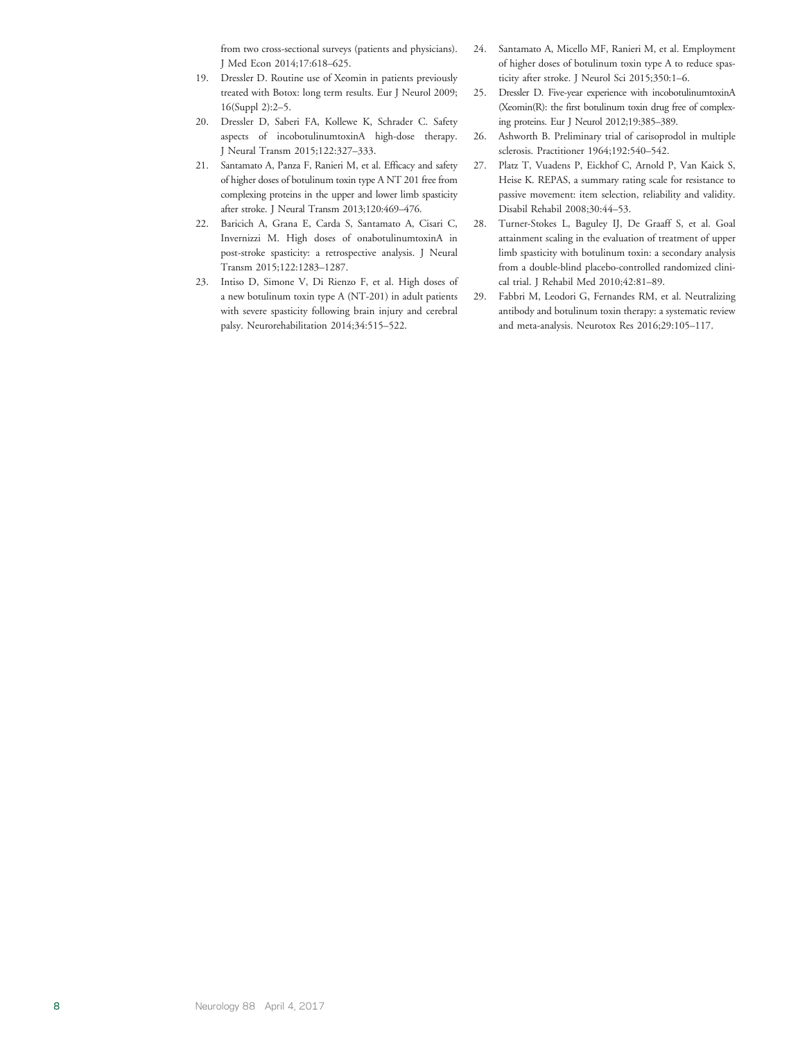from two cross-sectional surveys (patients and physicians). J Med Econ 2014;17:618–625.

- 19. Dressler D. Routine use of Xeomin in patients previously treated with Botox: long term results. Eur J Neurol 2009; 16(Suppl 2):2–5.
- 20. Dressler D, Saberi FA, Kollewe K, Schrader C. Safety aspects of incobotulinumtoxinA high-dose therapy. J Neural Transm 2015;122:327–333.
- 21. Santamato A, Panza F, Ranieri M, et al. Efficacy and safety of higher doses of botulinum toxin type A NT 201 free from complexing proteins in the upper and lower limb spasticity after stroke. J Neural Transm 2013;120:469–476.
- 22. Baricich A, Grana E, Carda S, Santamato A, Cisari C, Invernizzi M. High doses of onabotulinumtoxinA in post-stroke spasticity: a retrospective analysis. J Neural Transm 2015;122:1283–1287.
- 23. Intiso D, Simone V, Di Rienzo F, et al. High doses of a new botulinum toxin type A (NT-201) in adult patients with severe spasticity following brain injury and cerebral palsy. Neurorehabilitation 2014;34:515–522.
- 24. Santamato A, Micello MF, Ranieri M, et al. Employment of higher doses of botulinum toxin type A to reduce spasticity after stroke. J Neurol Sci 2015;350:1–6.
- 25. Dressler D. Five-year experience with incobotulinumtoxinA (Xeomin(R): the first botulinum toxin drug free of complexing proteins. Eur J Neurol 2012;19:385–389.
- 26. Ashworth B. Preliminary trial of carisoprodol in multiple sclerosis. Practitioner 1964;192:540–542.
- 27. Platz T, Vuadens P, Eickhof C, Arnold P, Van Kaick S, Heise K. REPAS, a summary rating scale for resistance to passive movement: item selection, reliability and validity. Disabil Rehabil 2008;30:44–53.
- 28. Turner-Stokes L, Baguley IJ, De Graaff S, et al. Goal attainment scaling in the evaluation of treatment of upper limb spasticity with botulinum toxin: a secondary analysis from a double-blind placebo-controlled randomized clinical trial. J Rehabil Med 2010;42:81–89.
- 29. Fabbri M, Leodori G, Fernandes RM, et al. Neutralizing antibody and botulinum toxin therapy: a systematic review and meta-analysis. Neurotox Res 2016;29:105–117.